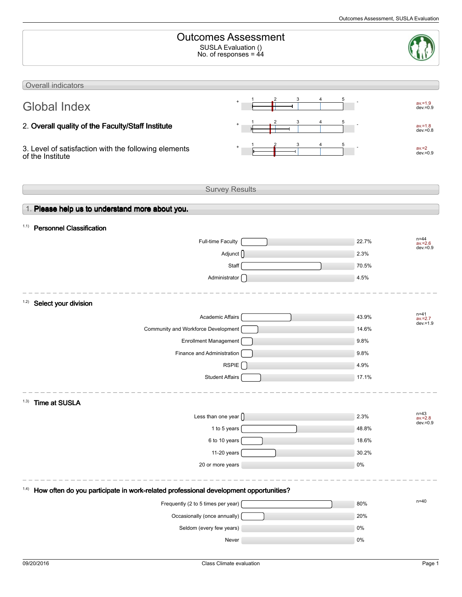| <b>Outcomes Assessment</b><br>SUSLA Evaluation ()<br>No. of responses = $44$                  |  |                                                |  |  |  |  |  |  |
|-----------------------------------------------------------------------------------------------|--|------------------------------------------------|--|--|--|--|--|--|
| Overall indicators                                                                            |  |                                                |  |  |  |  |  |  |
|                                                                                               |  | $av = 1.9$                                     |  |  |  |  |  |  |
| <b>Global Index</b>                                                                           |  | $dev = 0.9$                                    |  |  |  |  |  |  |
| 2. Overall quality of the Faculty/Staff Institute                                             |  | $av = 1.8$<br>$dev = 0.8$                      |  |  |  |  |  |  |
| 3. Level of satisfaction with the following elements<br>of the Institute                      |  | $av = 2$<br>$dev = 0.9$                        |  |  |  |  |  |  |
| <b>Survey Results</b>                                                                         |  |                                                |  |  |  |  |  |  |
|                                                                                               |  |                                                |  |  |  |  |  |  |
| 1. Please help us to understand more about you.                                               |  |                                                |  |  |  |  |  |  |
| <b>Personnel Classification</b><br>1.1)                                                       |  |                                                |  |  |  |  |  |  |
| Full-time Faculty                                                                             |  | $n = 44$<br>22.7%<br>$av = 2.6$<br>$dev = 0.9$ |  |  |  |  |  |  |
| Adjunct ()                                                                                    |  | 2.3%                                           |  |  |  |  |  |  |
| Staff                                                                                         |  | 70.5%                                          |  |  |  |  |  |  |
| Administrator [                                                                               |  | 4.5%                                           |  |  |  |  |  |  |
| 1.2)<br>Select your division                                                                  |  |                                                |  |  |  |  |  |  |
| Academic Affairs                                                                              |  | n=41<br>43.9%<br>$av = 2.7$                    |  |  |  |  |  |  |
| Community and Workforce Development                                                           |  | $dev = 1.9$<br>14.6%                           |  |  |  |  |  |  |
| <b>Enrollment Management</b>                                                                  |  | 9.8%                                           |  |  |  |  |  |  |
| Finance and Administration                                                                    |  | 9.8%                                           |  |  |  |  |  |  |
| RSPIE                                                                                         |  | 4.9%                                           |  |  |  |  |  |  |
| <b>Student Affairs</b>                                                                        |  | 17.1%                                          |  |  |  |  |  |  |
| (1.3)<br><b>Time at SUSLA</b>                                                                 |  |                                                |  |  |  |  |  |  |
| Less than one year $\bigcap$                                                                  |  | n=43<br>av.=2.8<br>dev.=0.9<br>2.3%            |  |  |  |  |  |  |
| 1 to 5 years                                                                                  |  | 48.8%                                          |  |  |  |  |  |  |
| 6 to 10 years                                                                                 |  | 18.6%                                          |  |  |  |  |  |  |
| 11-20 years                                                                                   |  | 30.2%                                          |  |  |  |  |  |  |
| 20 or more years                                                                              |  | 0%                                             |  |  |  |  |  |  |
| How often do you participate in work-related professional development opportunities?<br>(1.4) |  |                                                |  |  |  |  |  |  |
| Frequently (2 to 5 times per year)                                                            |  | $n=40$<br>80%                                  |  |  |  |  |  |  |
| Occasionally (once annually)                                                                  |  | 20%                                            |  |  |  |  |  |  |
| Seldom (every few years)                                                                      |  | 0%                                             |  |  |  |  |  |  |
| Never                                                                                         |  | 0%                                             |  |  |  |  |  |  |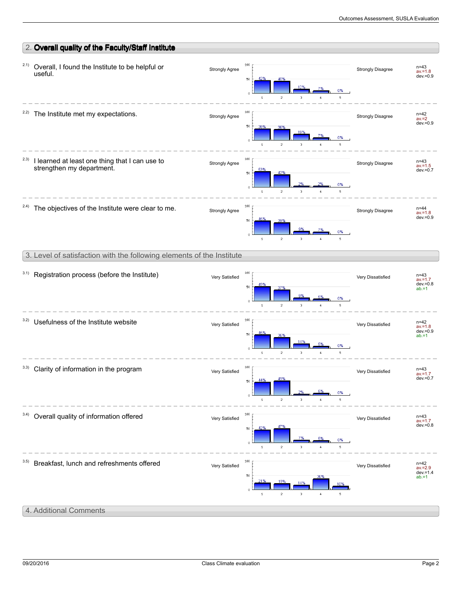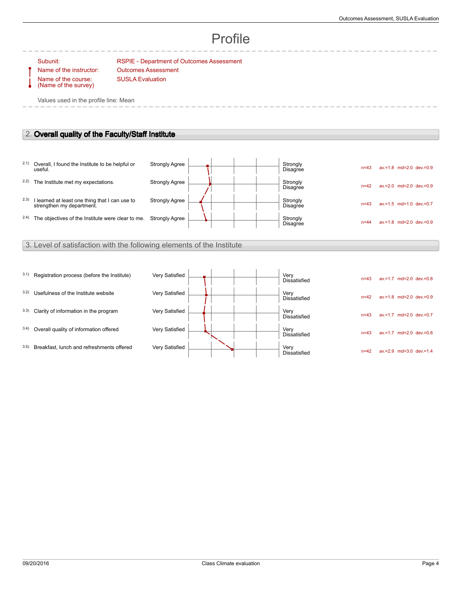# Profile

### Subunit: RSPIE - Department of Outcomes Assessment

Name of the course: (Name of the survey)

Name of the instructor: Outcomes Assessment SUSLA Evaluation

Values used in the profile line: Mean

## 2. **Overall quality of the Faculty/Staff Institute**

|       | 2.1) Overall, I found the Institute to be helpful or<br>useful.             | <b>Strongly Agree</b> |  |  | Strongly<br><b>Disagree</b> | $n = 43$ | $av = 1.8$ md=2.0 dev $= 0.9$    |
|-------|-----------------------------------------------------------------------------|-----------------------|--|--|-----------------------------|----------|----------------------------------|
| 2.2)  | The Institute met my expectations.                                          | <b>Strongly Agree</b> |  |  | Strongly<br><b>Disagree</b> | $n = 42$ | $av = 2.0$ md= $2.0$ dev $= 0.9$ |
| 2.3)  | I learned at least one thing that I can use to<br>strengthen my department. | <b>Strongly Agree</b> |  |  | Strongly<br><b>Disagree</b> | $n = 43$ | $av = 1.5$ md=1.0 dev.=0.7       |
| (2.4) | The objectives of the Institute were clear to me.                           | <b>Strongly Agree</b> |  |  | Strongly<br><b>Disagree</b> | $n = 44$ | $av = 1.8$ md= $2.0$ dev $= 0.9$ |

## 3. Level of satisfaction with the following elements of the Institute

| 3.1) | Registration process (before the Institute) | Very Satisfied |  | Very<br><b>Dissatisfied</b> | $n=43$   | $av = 1.7$ md=2.0 dev.=0.8       |
|------|---------------------------------------------|----------------|--|-----------------------------|----------|----------------------------------|
| 3.2) | Usefulness of the Institute website         | Very Satisfied |  | Very<br><b>Dissatisfied</b> | $n=42$   | $av = 1.8$ md= $2.0$ dev $= 0.9$ |
| 3.3) | Clarity of information in the program       | Very Satisfied |  | Very<br>Dissatisfied        | $n = 43$ | $av = 1.7$ md=2.0 dev $= 0.7$    |
| 3.4) | Overall quality of information offered      | Very Satisfied |  | Very<br>Dissatisfied        | $n = 43$ | $av = 1.7$ md= $2.0$ dev $= 0.8$ |
| 3.5) | Breakfast, lunch and refreshments offered   | Very Satisfied |  | Very<br><b>Dissatisfied</b> | $n = 42$ | $av = 2.9$ md=3.0 dev $= 1.4$    |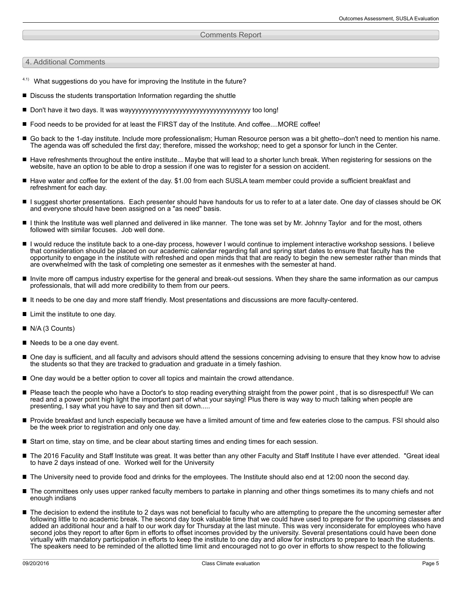#### Comments Report

4. Additional Comments

- $4.1)$  What suggestions do you have for improving the Institute in the future?
- Discuss the students transportation Information regarding the shuttle
- Don't have it two days. It was wayyyyyyyyyyyyyyyyyyyyyyyyyyyyyyyyyyyy too long!
- Food needs to be provided for at least the FIRST day of the Institute. And coffee....MORE coffee!
- Go back to the 1-day institute. Include more professionalism; Human Resource person was a bit ghetto--don't need to mention his name. The agenda was off scheduled the first day; therefore, missed the workshop; need to get a sponsor for lunch in the Center.
- $\blacksquare$ Have refreshments throughout the entire institute... Maybe that will lead to a shorter lunch break. When registering for sessions on the website, have an option to be able to drop a session if one was to register for a session on accident.
- Have water and coffee for the extent of the day. \$1.00 from each SUSLA team member could provide a sufficient breakfast and refreshment for each day.
- I suggest shorter presentations. Each presenter should have handouts for us to refer to at a later date. One day of classes should be OK and everyone should have been assigned on a "as need" basis.
- I think the Institute was well planned and delivered in like manner. The tone was set by Mr. Johnny Taylor and for the most, others followed with similar focuses. Job well done.
- I would reduce the institute back to a one-day process, however I would continue to implement interactive workshop sessions. I believe that consideration should be placed on our academic calendar regarding fall and spring start dates to ensure that faculty has the opportunity to engage in the institute with refreshed and open minds that that are ready to begin the new semester rather than minds that are overwhelmed with the task of completing one semester as it enmeshes with the semester at hand.
- Invite more off campus industry expertise for the general and break-out sessions. When they share the same information as our campus professionals, that will add more credibility to them from our peers.
- It needs to be one day and more staff friendly. Most presentations and discussions are more faculty-centered.
- **Limit the institute to one day.**
- N/A (3 Counts)
- Needs to be a one day event.
- One day is sufficient, and all faculty and advisors should attend the sessions concerning advising to ensure that they know how to advise the students so that they are tracked to graduation and graduate in a timely fashion.
- One day would be a better option to cover all topics and maintain the crowd attendance.
- Please teach the people who have a Doctor's to stop reading everything straight from the power point , that is so disrespectful! We can read and a power point high light the important part of what your saying! Plus there is way way to much talking when people are presenting, I say what you have to say and then sit down.....
- **Provide breakfast and lunch especially because we have a limited amount of time and few eateries close to the campus. FSI should also** be the week prior to registration and only one day.
- Start on time, stay on time, and be clear about starting times and ending times for each session.
- The 2016 Faculity and Staff Institute was great. It was better than any other Faculty and Staff Institute I have ever attended. "Great ideal to have 2 days instead of one. Worked well for the University
- The University need to provide food and drinks for the employees. The Institute should also end at 12:00 noon the second day.
- The committees only uses upper ranked faculty members to partake in planning and other things sometimes its to many chiefs and not enough indians
- The decision to extend the institute to 2 days was not beneficial to faculty who are attempting to prepare the the uncoming semester after following little to no academic break. The second day took valuable time that we could have used to prepare for the upcoming classes and added an additional hour and a half to our work day for Thursday at the last minute. This was very inconsiderate for employees who have second jobs they report to after 6pm in efforts to offset incomes provided by the university. Several presentations could have been done virtually with mandatory participation in efforts to keep the institute to one day and allow for instructors to prepare to teach the students. The speakers need to be reminded of the allotted time limit and encouraged not to go over in efforts to show respect to the following